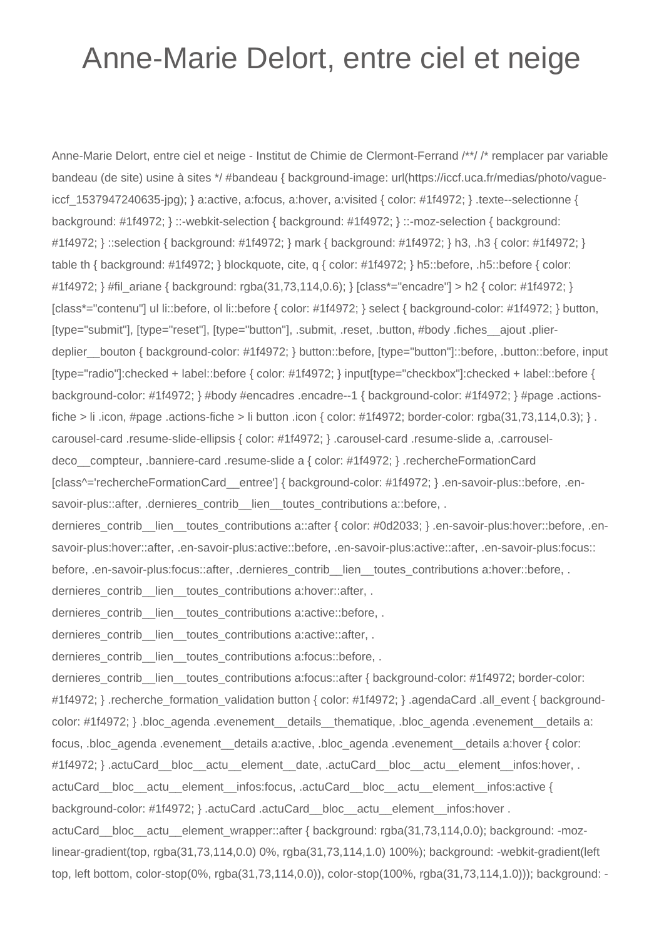## Anne-Marie Delort, entre ciel et neige

Anne-Marie Delort, entre ciel et neige - Institut de Chimie de Clermont-Ferrand /\*\*/ /\* remplacer par variable bandeau (de site) usine à sites \*/ #bandeau { background-image: url(https://iccf.uca.fr/medias/photo/vagueiccf\_1537947240635-jpg); } a:active, a:focus, a:hover, a:visited { color: #1f4972; } .texte--selectionne { background: #1f4972; } ::-webkit-selection { background: #1f4972; } ::-moz-selection { background: #1f4972; } ::selection { background: #1f4972; } mark { background: #1f4972; } h3, .h3 { color: #1f4972; } table th { background: #1f4972; } blockquote, cite, q { color: #1f4972; } h5::before, .h5::before { color: #1f4972; } #fil\_ariane { background: rgba(31,73,114,0.6); } [class\*="encadre"] > h2 { color: #1f4972; } [class\*="contenu"] ul li::before, ol li::before { color: #1f4972; } select { background-color: #1f4972; } button, [type="submit"], [type="reset"], [type="button"], .submit, .reset, .button, #body .fiches\_\_ajout .plierdeplier\_\_bouton { background-color: #1f4972; } button::before, [type="button"]::before, .button::before, input [type="radio"]:checked + label::before { color: #1f4972; } input[type="checkbox"]:checked + label::before { background-color: #1f4972; } #body #encadres .encadre--1 { background-color: #1f4972; } #page .actionsfiche > li .icon, #page .actions-fiche > li button .icon { color: #1f4972; border-color: rgba(31,73,114,0.3); } . carousel-card .resume-slide-ellipsis { color: #1f4972; } .carousel-card .resume-slide a, .carrouseldeco\_\_compteur, .banniere-card .resume-slide a { color: #1f4972; } .rechercheFormationCard [class^='rechercheFormationCard\_\_entree'] { background-color: #1f4972; } .en-savoir-plus::before, .ensavoir-plus::after, .dernieres\_contrib\_\_lien\_\_toutes\_contributions a::before, . dernieres\_contrib\_lien\_toutes\_contributions a::after { color: #0d2033; } .en-savoir-plus:hover::before, .ensavoir-plus:hover::after, .en-savoir-plus:active::before, .en-savoir-plus:active::after, .en-savoir-plus:focus:: before, .en-savoir-plus:focus::after, .dernieres\_contrib\_\_lien\_\_toutes\_contributions a:hover::before, . dernieres\_contrib\_lien\_toutes\_contributions a:hover::after, . dernieres\_contrib\_lien\_toutes\_contributions a:active::before, . dernieres contrib lien toutes contributions a:active::after, . dernieres contrib lien toutes contributions a:focus::before, . dernieres\_contrib\_lien\_toutes\_contributions a:focus::after { background-color: #1f4972; border-color: #1f4972; } .recherche\_formation\_validation button { color: #1f4972; } .agendaCard .all\_event { backgroundcolor: #1f4972; } .bloc\_agenda .evenement\_details\_thematique, .bloc\_agenda .evenement\_details a: focus, .bloc\_agenda .evenement\_\_details a:active, .bloc\_agenda .evenement\_\_details a:hover { color: #1f4972; } .actuCard\_\_bloc\_\_actu\_\_element\_\_date, .actuCard\_\_bloc\_\_actu\_\_element\_\_infos:hover, . actuCard bloc actu element infos:focus, .actuCard bloc actu element infos:active { background-color: #1f4972; } .actuCard .actuCard \_bloc\_\_actu\_\_element \_infos:hover . actuCard\_bloc\_actu\_element\_wrapper::after { background: rgba(31,73,114,0.0); background: -mozlinear-gradient(top, rgba(31,73,114,0.0) 0%, rgba(31,73,114,1.0) 100%); background: -webkit-gradient(left top, left bottom, color-stop(0%, rgba(31,73,114,0.0)), color-stop(100%, rgba(31,73,114,1.0))); background: -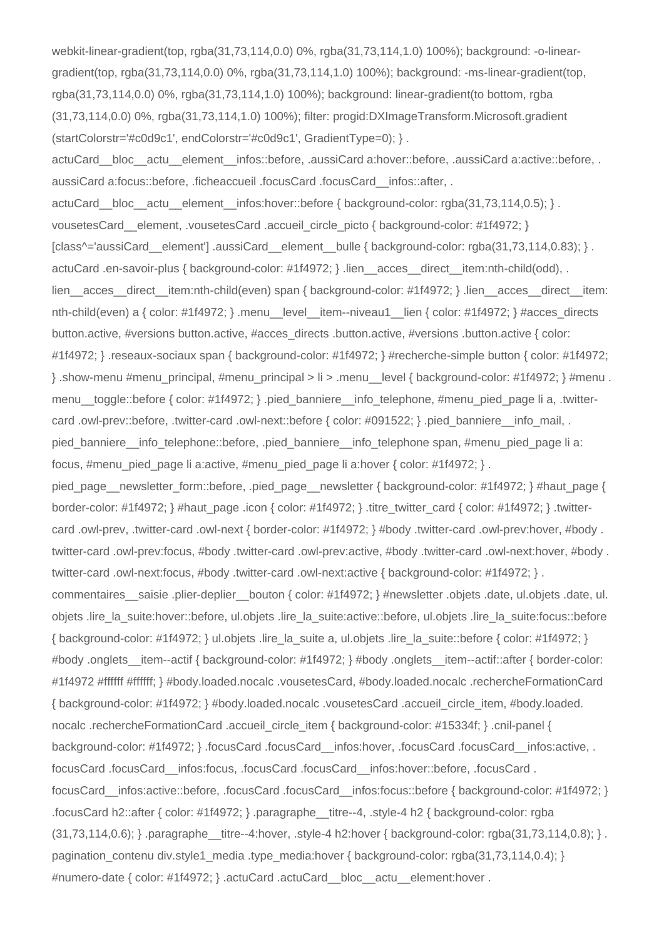webkit-linear-gradient(top, rgba(31,73,114,0.0) 0%, rgba(31,73,114,1.0) 100%); background: -o-lineargradient(top, rgba(31,73,114,0.0) 0%, rgba(31,73,114,1.0) 100%); background: -ms-linear-gradient(top, rgba(31,73,114,0.0) 0%, rgba(31,73,114,1.0) 100%); background: linear-gradient(to bottom, rgba (31,73,114,0.0) 0%, rgba(31,73,114,1.0) 100%); filter: progid:DXImageTransform.Microsoft.gradient (startColorstr='#c0d9c1', endColorstr='#c0d9c1', GradientType=0); } .

actuCard\_\_bloc\_\_actu\_\_element\_\_infos::before, .aussiCard a:hover::before, .aussiCard a:active::before, . aussiCard a:focus::before, .ficheaccueil .focusCard .focusCard infos::after, .

actuCard bloc actu element infos:hover::before { background-color: rgba(31,73,114,0.5); } . vousetesCard\_\_element, .vousetesCard .accueil\_circle\_picto { background-color: #1f4972; }  $[class^{\prime}$ ='aussiCard\_element'] .aussiCard\_element\_bulle { background-color: rgba(31,73,114,0.83); } . actuCard .en-savoir-plus { background-color: #1f4972; } .lien \_ acces \_ direct \_ item:nth-child(odd), . lien\_acces\_direct\_item:nth-child(even) span { background-color: #1f4972; } .lien\_acces\_direct\_item: nth-child(even) a { color: #1f4972; } .menu level item--niveau1 lien { color: #1f4972; } #acces\_directs button.active, #versions button.active, #acces\_directs .button.active, #versions .button.active { color: #1f4972; } .reseaux-sociaux span { background-color: #1f4972; } #recherche-simple button { color: #1f4972; } .show-menu #menu\_principal, #menu\_principal > li > .menu\_\_level { background-color: #1f4972; } #menu . menu\_\_toggle::before { color: #1f4972; } .pied\_banniere\_\_info\_telephone, #menu\_pied\_page li a, .twittercard .owl-prev::before, .twitter-card .owl-next::before { color: #091522; } .pied\_banniere\_info\_mail, . pied\_banniere\_\_info\_telephone::before, .pied\_banniere\_\_info\_telephone span, #menu\_pied\_page li a: focus, #menu\_pied\_page li a:active, #menu\_pied\_page li a:hover { color: #1f4972; } .

pied\_page\_\_newsletter\_form::before, .pied\_page\_\_newsletter { background-color: #1f4972; } #haut\_page { border-color: #1f4972; } #haut\_page .icon { color: #1f4972; } .titre\_twitter\_card { color: #1f4972; } .twittercard .owl-prev, .twitter-card .owl-next { border-color: #1f4972; } #body .twitter-card .owl-prev:hover, #body . twitter-card .owl-prev:focus, #body .twitter-card .owl-prev:active, #body .twitter-card .owl-next:hover, #body . twitter-card .owl-next:focus, #body .twitter-card .owl-next:active { background-color: #1f4972; } .

commentaires saisie .plier-deplier bouton { color: #1f4972; } #newsletter .objets .date, ul.objets .date, ul. objets .lire\_la\_suite:hover::before, ul.objets .lire\_la\_suite:active::before, ul.objets .lire\_la\_suite:focus::before { background-color: #1f4972; } ul.objets .lire\_la\_suite a, ul.objets .lire\_la\_suite::before { color: #1f4972; } #body .onglets\_item--actif { background-color: #1f4972; } #body .onglets\_item--actif::after { border-color: #1f4972 #ffffff #ffffff; } #body.loaded.nocalc .vousetesCard, #body.loaded.nocalc .rechercheFormationCard { background-color: #1f4972; } #body.loaded.nocalc .vousetesCard .accueil\_circle\_item, #body.loaded. nocalc .rechercheFormationCard .accueil\_circle\_item { background-color: #15334f; } .cnil-panel { background-color: #1f4972; } .focusCard .focusCard infos:hover, .focusCard .focusCard infos:active, . focusCard .focusCard\_\_infos:focus, .focusCard .focusCard\_\_infos:hover::before, .focusCard . focusCard\_\_infos:active::before, .focusCard .focusCard\_\_infos:focus::before { background-color: #1f4972; } .focusCard h2::after { color: #1f4972; } .paragraphe\_\_titre--4, .style-4 h2 { background-color: rgba  $(31,73,114,0.6);$  } .paragraphe titre--4:hover, .style-4 h2:hover { background-color: rgba(31,73,114,0.8); } . pagination contenu div.style1 media .type media:hover { background-color: rgba(31,73,114,0.4); } #numero-date { color: #1f4972; } .actuCard .actuCard \_ bloc\_\_actu\_\_element:hover .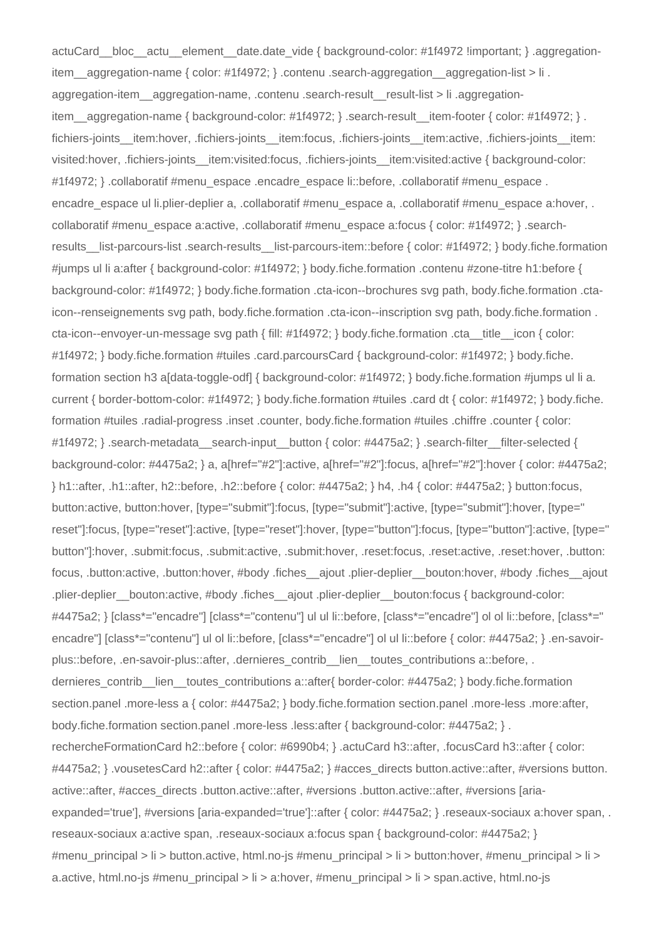actuCard\_bloc\_actu\_element\_date.date\_vide { background-color: #1f4972 !important; } .aggregationitem\_\_aggregation-name { color: #1f4972; } .contenu .search-aggregation\_\_aggregation-list > li . aggregation-item\_aggregation-name, .contenu .search-result result-list > li .aggregationitem\_aggregation-name { background-color: #1f4972; } .search-result\_item-footer { color: #1f4972; } . fichiers-joints\_\_item:hover, .fichiers-joints\_\_item:focus, .fichiers-joints\_\_item:active, .fichiers-joints\_\_item: visited:hover, .fichiers-joints\_\_item:visited:focus, .fichiers-joints\_\_item:visited:active { background-color: #1f4972; } .collaboratif #menu\_espace .encadre\_espace li::before, .collaboratif #menu\_espace . encadre\_espace ul li.plier-deplier a, .collaboratif #menu\_espace a, .collaboratif #menu\_espace a:hover, . collaboratif #menu\_espace a:active, .collaboratif #menu\_espace a:focus { color: #1f4972; } .searchresults list-parcours-list .search-results list-parcours-item::before { color: #1f4972; } body.fiche.formation #jumps ul li a:after { background-color: #1f4972; } body.fiche.formation .contenu #zone-titre h1:before { background-color: #1f4972; } body.fiche.formation .cta-icon--brochures svg path, body.fiche.formation .ctaicon--renseignements svg path, body.fiche.formation .cta-icon--inscription svg path, body.fiche.formation . cta-icon--envoyer-un-message svg path { fill: #1f4972; } body.fiche.formation .cta\_\_title\_\_icon { color: #1f4972; } body.fiche.formation #tuiles .card.parcoursCard { background-color: #1f4972; } body.fiche. formation section h3 a[data-toggle-odf] { background-color: #1f4972; } body.fiche.formation #jumps ul li a. current { border-bottom-color: #1f4972; } body.fiche.formation #tuiles .card dt { color: #1f4972; } body.fiche. formation #tuiles .radial-progress .inset .counter, body.fiche.formation #tuiles .chiffre .counter { color: #1f4972; } .search-metadata\_\_search-input\_\_button { color: #4475a2; } .search-filter\_filter-selected { background-color: #4475a2; } a, a[href="#2"]:active, a[href="#2"]:focus, a[href="#2"]:hover { color: #4475a2; } h1::after, .h1::after, h2::before, .h2::before { color: #4475a2; } h4, .h4 { color: #4475a2; } button:focus, button:active, button:hover, [type="submit"]:focus, [type="submit"]:active, [type="submit"]:hover, [type=" reset"]:focus, [type="reset"]:active, [type="reset"]:hover, [type="button"]:focus, [type="button"]:active, [type=" button"]:hover, .submit:focus, .submit:active, .submit:hover, .reset:focus, .reset:active, .reset:hover, .button: focus, .button:active, .button:hover, #body .fiches\_\_ajout .plier-deplier\_\_bouton:hover, #body .fiches\_\_ajout .plier-deplier\_bouton:active, #body .fiches\_ajout .plier-deplier\_bouton:focus { background-color: #4475a2; } [class\*="encadre"] [class\*="contenu"] ul ul li::before, [class\*="encadre"] ol ol li::before, [class\*=" encadre"] [class\*="contenu"] ul ol li::before, [class\*="encadre"] ol ul li::before { color: #4475a2; } .en-savoirplus::before, .en-savoir-plus::after, .dernieres\_contrib\_\_lien\_\_toutes\_contributions a::before, . dernieres\_contrib\_lien\_toutes\_contributions a::after{ border-color: #4475a2; } body.fiche.formation section.panel .more-less a { color: #4475a2; } body.fiche.formation section.panel .more-less .more:after, body.fiche.formation section.panel .more-less .less:after { background-color: #4475a2; } . rechercheFormationCard h2::before { color: #6990b4; } .actuCard h3::after, .focusCard h3::after { color: #4475a2; } .vousetesCard h2::after { color: #4475a2; } #acces\_directs button.active::after, #versions button. active::after, #acces\_directs .button.active::after, #versions .button.active::after, #versions [ariaexpanded='true'], #versions [aria-expanded='true']::after { color: #4475a2; } .reseaux-sociaux a:hover span, . reseaux-sociaux a:active span, .reseaux-sociaux a:focus span { background-color: #4475a2; } #menu\_principal > li > button.active, html.no-js #menu\_principal > li > button:hover, #menu\_principal > li > a.active, html.no-js #menu\_principal > li > a:hover, #menu\_principal > li > span.active, html.no-js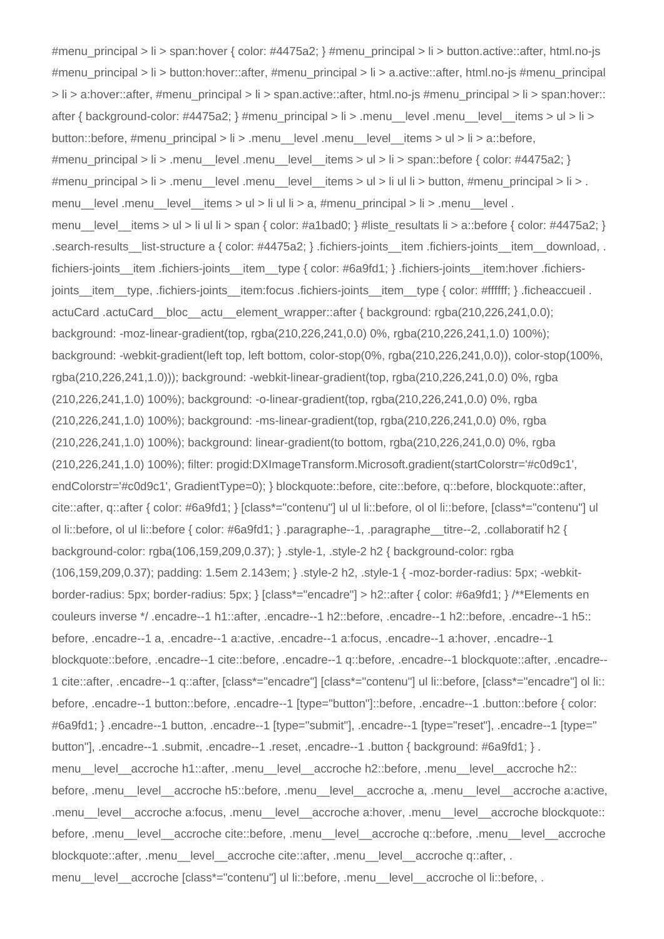#menu\_principal > li > span:hover { color: #4475a2; } #menu\_principal > li > button.active::after, html.no-js #menu\_principal > li > button:hover::after, #menu\_principal > li > a.active::after, html.no-js #menu\_principal > li > a:hover::after, #menu\_principal > li > span.active::after, html.no-js #menu\_principal > li > span:hover:: after { background-color:  $\#4475a2$ ; }  $\#$ menu principal > li > .menu level .menu level items > ul > li > button::before, #menu\_principal > li > .menu\_\_level .menu\_\_level\_\_items > ul > li > a::before, #menu\_principal > li > .menu\_level .menu\_level\_items > ul > li > span::before { color: #4475a2; } #menu principal > li > .menu level .menu level items > ul > li ul li > button, #menu principal > li > . menu level .menu level items  $>$  ul  $>$  li ul li  $>$  a, #menu principal  $>$  li  $>$  .menu level . menu level items  $>$  ul  $>$  li ul li  $>$  span { color: #a1bad0; } #liste resultats li  $>$  a::before { color: #4475a2; } .search-results list-structure a { color: #4475a2; } .fichiers-joints item .fichiers-joints item download, . fichiers-joints\_item .fichiers-joints\_item\_type { color: #6a9fd1; } .fichiers-joints\_item:hover .fichiersjoints item type, .fichiers-joints item:focus .fichiers-joints item type { color: #ffffff; } .ficheaccueil . actuCard .actuCard\_\_bloc\_\_actu\_\_element\_wrapper::after { background: rgba(210,226,241,0.0); background: -moz-linear-gradient(top, rgba(210,226,241,0.0) 0%, rgba(210,226,241,1.0) 100%); background: -webkit-gradient(left top, left bottom, color-stop(0%, rgba(210,226,241,0.0)), color-stop(100%, rgba(210,226,241,1.0))); background: -webkit-linear-gradient(top, rgba(210,226,241,0.0) 0%, rgba (210,226,241,1.0) 100%); background: -o-linear-gradient(top, rgba(210,226,241,0.0) 0%, rgba (210,226,241,1.0) 100%); background: -ms-linear-gradient(top, rgba(210,226,241,0.0) 0%, rgba (210,226,241,1.0) 100%); background: linear-gradient(to bottom, rgba(210,226,241,0.0) 0%, rgba (210,226,241,1.0) 100%); filter: progid:DXImageTransform.Microsoft.gradient(startColorstr='#c0d9c1', endColorstr='#c0d9c1', GradientType=0); } blockquote::before, cite::before, q::before, blockquote::after, cite::after, q::after { color: #6a9fd1; } [class\*="contenu"] ul ul li::before, ol ol li::before, [class\*="contenu"] ul ol li::before, ol ul li::before { color: #6a9fd1; } .paragraphe--1, .paragraphe\_\_titre--2, .collaboratif h2 { background-color: rgba(106,159,209,0.37); } .style-1, .style-2 h2 { background-color: rgba (106,159,209,0.37); padding: 1.5em 2.143em; } .style-2 h2, .style-1 { -moz-border-radius: 5px; -webkitborder-radius: 5px; border-radius: 5px; } [class\*="encadre"] > h2::after { color: #6a9fd1; } /\*\*Elements en couleurs inverse \*/ .encadre--1 h1::after, .encadre--1 h2::before, .encadre--1 h2::before, .encadre--1 h5:: before, .encadre--1 a, .encadre--1 a:active, .encadre--1 a:focus, .encadre--1 a:hover, .encadre--1 blockquote::before, .encadre--1 cite::before, .encadre--1 q::before, .encadre--1 blockquote::after, .encadre-- 1 cite::after, .encadre--1 q::after, [class\*="encadre"] [class\*="contenu"] ul li::before, [class\*="encadre"] ol li:: before, .encadre--1 button::before, .encadre--1 [type="button"]::before, .encadre--1 .button::before { color: #6a9fd1; } .encadre--1 button, .encadre--1 [type="submit"], .encadre--1 [type="reset"], .encadre--1 [type=" button"], .encadre--1 .submit, .encadre--1 .reset, .encadre--1 .button { background: #6a9fd1; }. menu\_\_level\_\_accroche h1::after, .menu\_\_level\_\_accroche h2::before, .menu\_\_level\_\_accroche h2:: before, .menu level accroche h5::before, .menu level accroche a, .menu level accroche a:active, .menu\_\_level\_\_accroche a:focus, .menu\_\_level\_\_accroche a:hover, .menu\_\_level\_\_accroche blockquote:: before, .menu level accroche cite::before, .menu level accroche q::before, .menu level accroche blockquote::after, .menu level accroche cite::after, .menu level accroche q::after, . menu\_level\_accroche [class\*="contenu"] ul li::before, .menu\_level\_accroche ol li::before, .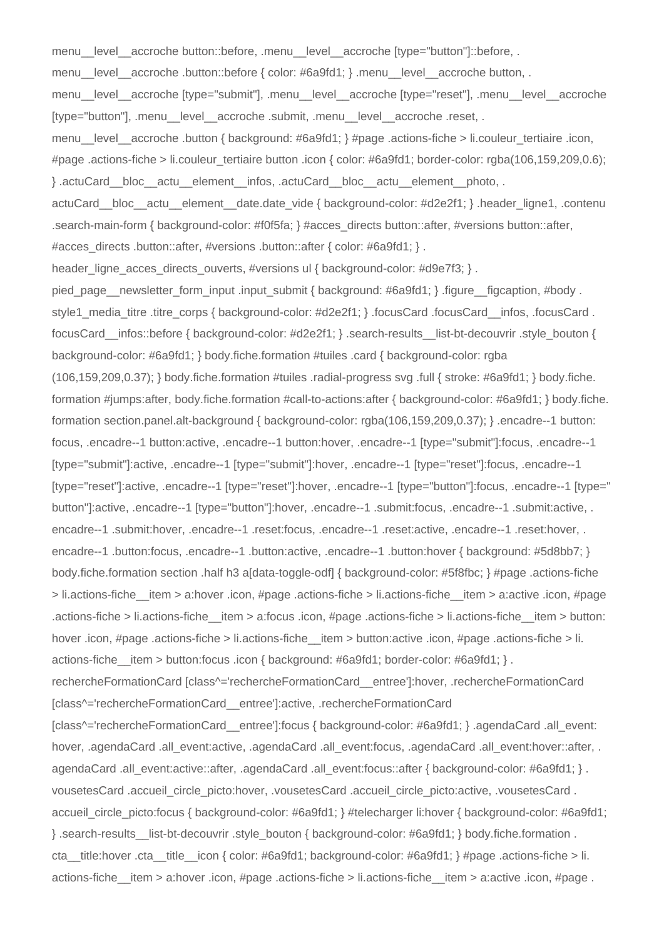menu\_level\_accroche button::before, .menu\_level\_accroche [type="button"]::before, . menu\_level\_accroche .button::before { color: #6a9fd1; } .menu\_level\_accroche button, . menu\_\_level\_\_accroche [type="submit"], .menu\_\_level\_\_accroche [type="reset"], .menu\_\_level\_\_accroche [type="button"], .menu level accroche .submit, .menu level accroche .reset, . menu\_\_level\_\_accroche .button { background: #6a9fd1; } #page .actions-fiche > li.couleur\_tertiaire .icon, #page .actions-fiche > li.couleur\_tertiaire button .icon { color: #6a9fd1; border-color: rgba(106,159,209,0.6); } .actuCard\_\_bloc\_\_actu\_\_element\_\_infos, .actuCard\_\_bloc\_\_actu\_\_element\_\_photo, . actuCard bloc actu element date.date vide { background-color: #d2e2f1; } .header ligne1, .contenu .search-main-form { background-color: #f0f5fa; } #acces\_directs button::after, #versions button::after, #acces\_directs .button::after, #versions .button::after { color: #6a9fd1; } . header ligne acces directs ouverts, #versions ul { background-color: #d9e7f3; } . pied\_page\_newsletter\_form\_input .input\_submit { background: #6a9fd1; } .figure\_\_figcaption, #body . style1\_media\_titre\_titre\_corps { background-color: #d2e2f1; } .focusCard .focusCard .jnfos, .focusCard . focusCard\_\_infos::before { background-color: #d2e2f1; } .search-results\_\_list-bt-decouvrir .style\_bouton { background-color: #6a9fd1; } body.fiche.formation #tuiles .card { background-color: rgba (106,159,209,0.37); } body.fiche.formation #tuiles .radial-progress svg .full { stroke: #6a9fd1; } body.fiche. formation #jumps:after, body.fiche.formation #call-to-actions:after { background-color: #6a9fd1; } body.fiche. formation section.panel.alt-background { background-color: rgba(106,159,209,0.37); } .encadre--1 button: focus, .encadre--1 button:active, .encadre--1 button:hover, .encadre--1 [type="submit"]:focus, .encadre--1 [type="submit"]:active, .encadre--1 [type="submit"]:hover, .encadre--1 [type="reset"]:focus, .encadre--1 [type="reset"]:active, .encadre--1 [type="reset"]:hover, .encadre--1 [type="button"]:focus, .encadre--1 [type=" button"]:active, .encadre--1 [type="button"]:hover, .encadre--1 .submit:focus, .encadre--1 .submit:active, . encadre--1 .submit:hover, .encadre--1 .reset:focus, .encadre--1 .reset:active, .encadre--1 .reset:hover, . encadre--1 .button:focus, .encadre--1 .button:active, .encadre--1 .button:hover { background: #5d8bb7; } body.fiche.formation section .half h3 a[data-toggle-odf] { background-color: #5f8fbc; } #page .actions-fiche > li.actions-fiche\_\_item > a:hover .icon, #page .actions-fiche > li.actions-fiche\_\_item > a:active .icon, #page .actions-fiche > li.actions-fiche\_\_item > a:focus .icon, #page .actions-fiche > li.actions-fiche\_\_item > button: hover .icon, #page .actions-fiche > li.actions-fiche item > button:active .icon, #page .actions-fiche > li. actions-fiche item > button:focus .icon { background: #6a9fd1; border-color: #6a9fd1; } . rechercheFormationCard [class^='rechercheFormationCard\_\_entree']:hover, .rechercheFormationCard [class^='rechercheFormationCard\_\_entree']:active, .rechercheFormationCard [class^='rechercheFormationCard entree']:focus { background-color: #6a9fd1; } .agendaCard .all event: hover, .agendaCard .all event:active, .agendaCard .all event:focus, .agendaCard .all event:hover::after, . agendaCard .all\_event:active::after, .agendaCard .all\_event:focus::after { background-color: #6a9fd1; } . vousetesCard .accueil\_circle\_picto:hover, .vousetesCard .accueil\_circle\_picto:active, .vousetesCard . accueil\_circle\_picto:focus { background-color: #6a9fd1; } #telecharger li:hover { background-color: #6a9fd1; } .search-results\_\_list-bt-decouvrir .style\_bouton { background-color: #6a9fd1; } body.fiche.formation . cta title:hover .cta title icon { color: #6a9fd1; background-color: #6a9fd1; } #page .actions-fiche > li. actions-fiche\_\_item > a:hover .icon, #page .actions-fiche > li.actions-fiche\_\_item > a:active .icon, #page .